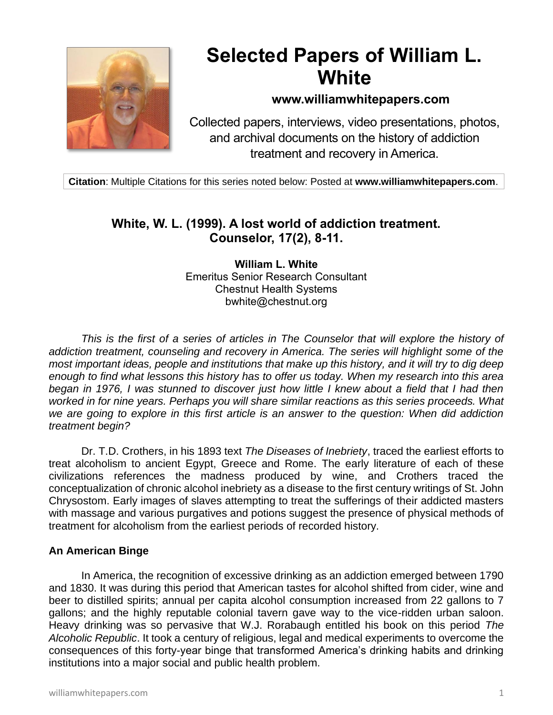

# **Selected Papers of William L. White**

# **www.williamwhitepapers.com**

Collected papers, interviews, video presentations, photos, and archival documents on the history of addiction treatment and recovery in America.

**Citation**: Multiple Citations for this series noted below: Posted at **www.williamwhitepapers.com**.

# **White, W. L. (1999). A lost world of addiction treatment. Counselor, 17(2), 8-11.**

**William L. White** Emeritus Senior Research Consultant Chestnut Health Systems bwhite@chestnut.org

This is the first of a series of articles in The Counselor that will explore the history of *addiction treatment, counseling and recovery in America. The series will highlight some of the most important ideas, people and institutions that make up this history, and it will try to dig deep enough to find what lessons this history has to offer us today. When my research into this area began in 1976, I was stunned to discover just how little I knew about a field that I had then worked in for nine years. Perhaps you will share similar reactions as this series proceeds. What we are going to explore in this first article is an answer to the question: When did addiction treatment begin?* 

Dr. T.D. Crothers, in his 1893 text *The Diseases of Inebriety*, traced the earliest efforts to treat alcoholism to ancient Egypt, Greece and Rome. The early literature of each of these civilizations references the madness produced by wine, and Crothers traced the conceptualization of chronic alcohol inebriety as a disease to the first century writings of St. John Chrysostom. Early images of slaves attempting to treat the sufferings of their addicted masters with massage and various purgatives and potions suggest the presence of physical methods of treatment for alcoholism from the earliest periods of recorded history.

# **An American Binge**

In America, the recognition of excessive drinking as an addiction emerged between 1790 and 1830. It was during this period that American tastes for alcohol shifted from cider, wine and beer to distilled spirits; annual per capita alcohol consumption increased from 22 gallons to 7 gallons; and the highly reputable colonial tavern gave way to the vice-ridden urban saloon. Heavy drinking was so pervasive that W.J. Rorabaugh entitled his book on this period *The Alcoholic Republic*. It took a century of religious, legal and medical experiments to overcome the consequences of this forty-year binge that transformed America's drinking habits and drinking institutions into a major social and public health problem.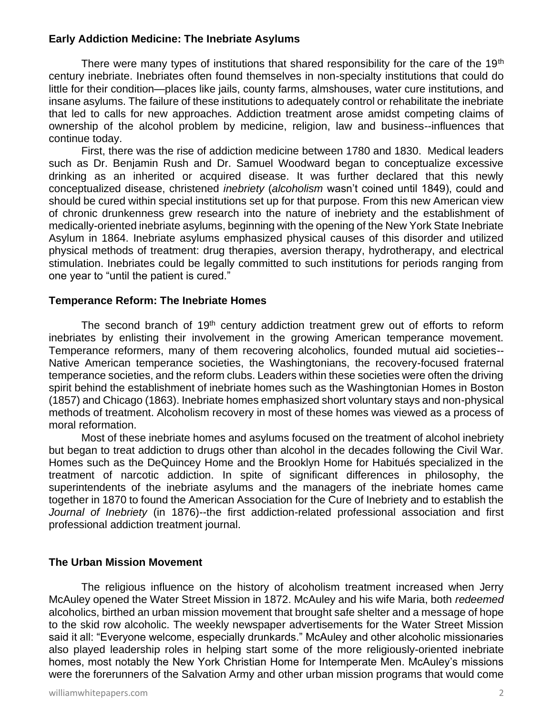# **Early Addiction Medicine: The Inebriate Asylums**

There were many types of institutions that shared responsibility for the care of the 19<sup>th</sup> century inebriate. Inebriates often found themselves in non-specialty institutions that could do little for their condition—places like jails, county farms, almshouses, water cure institutions, and insane asylums. The failure of these institutions to adequately control or rehabilitate the inebriate that led to calls for new approaches. Addiction treatment arose amidst competing claims of ownership of the alcohol problem by medicine, religion, law and business--influences that continue today.

 First, there was the rise of addiction medicine between 1780 and 1830. Medical leaders such as Dr. Benjamin Rush and Dr. Samuel Woodward began to conceptualize excessive drinking as an inherited or acquired disease. It was further declared that this newly conceptualized disease, christened *inebriety* (*alcoholism* wasn't coined until 1849), could and should be cured within special institutions set up for that purpose. From this new American view of chronic drunkenness grew research into the nature of inebriety and the establishment of medically-oriented inebriate asylums, beginning with the opening of the New York State Inebriate Asylum in 1864. Inebriate asylums emphasized physical causes of this disorder and utilized physical methods of treatment: drug therapies, aversion therapy, hydrotherapy, and electrical stimulation. Inebriates could be legally committed to such institutions for periods ranging from one year to "until the patient is cured."

#### **Temperance Reform: The Inebriate Homes**

The second branch of 19<sup>th</sup> century addiction treatment grew out of efforts to reform inebriates by enlisting their involvement in the growing American temperance movement. Temperance reformers, many of them recovering alcoholics, founded mutual aid societies-- Native American temperance societies, the Washingtonians, the recovery-focused fraternal temperance societies, and the reform clubs. Leaders within these societies were often the driving spirit behind the establishment of inebriate homes such as the Washingtonian Homes in Boston (1857) and Chicago (1863). Inebriate homes emphasized short voluntary stays and non-physical methods of treatment. Alcoholism recovery in most of these homes was viewed as a process of moral reformation.

 Most of these inebriate homes and asylums focused on the treatment of alcohol inebriety but began to treat addiction to drugs other than alcohol in the decades following the Civil War. Homes such as the DeQuincey Home and the Brooklyn Home for Habitués specialized in the treatment of narcotic addiction. In spite of significant differences in philosophy, the superintendents of the inebriate asylums and the managers of the inebriate homes came together in 1870 to found the American Association for the Cure of Inebriety and to establish the *Journal of Inebriety* (in 1876)--the first addiction-related professional association and first professional addiction treatment journal.

#### **The Urban Mission Movement**

The religious influence on the history of alcoholism treatment increased when Jerry McAuley opened the Water Street Mission in 1872. McAuley and his wife Maria, both *redeemed* alcoholics, birthed an urban mission movement that brought safe shelter and a message of hope to the skid row alcoholic. The weekly newspaper advertisements for the Water Street Mission said it all: "Everyone welcome, especially drunkards." McAuley and other alcoholic missionaries also played leadership roles in helping start some of the more religiously-oriented inebriate homes, most notably the New York Christian Home for Intemperate Men. McAuley's missions were the forerunners of the Salvation Army and other urban mission programs that would come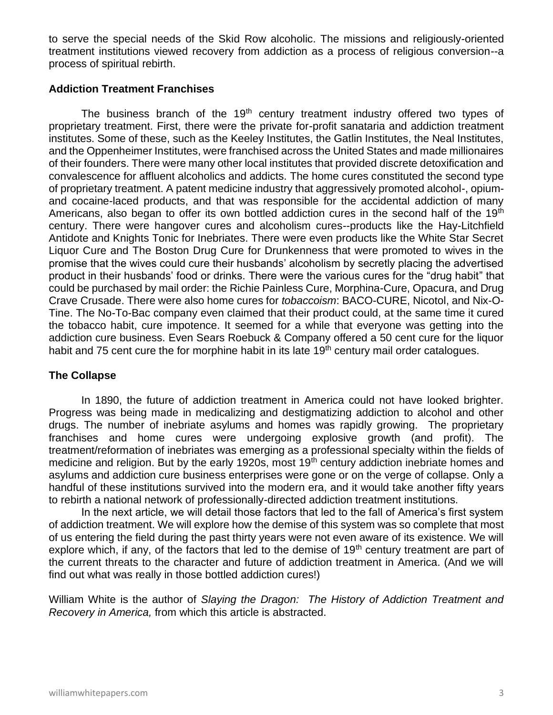to serve the special needs of the Skid Row alcoholic. The missions and religiously-oriented treatment institutions viewed recovery from addiction as a process of religious conversion--a process of spiritual rebirth.

# **Addiction Treatment Franchises**

The business branch of the  $19<sup>th</sup>$  century treatment industry offered two types of proprietary treatment. First, there were the private for-profit sanataria and addiction treatment institutes. Some of these, such as the Keeley Institutes, the Gatlin Institutes, the Neal Institutes, and the Oppenheimer Institutes, were franchised across the United States and made millionaires of their founders. There were many other local institutes that provided discrete detoxification and convalescence for affluent alcoholics and addicts. The home cures constituted the second type of proprietary treatment. A patent medicine industry that aggressively promoted alcohol-, opiumand cocaine-laced products, and that was responsible for the accidental addiction of many Americans, also began to offer its own bottled addiction cures in the second half of the 19<sup>th</sup> century. There were hangover cures and alcoholism cures--products like the Hay-Litchfield Antidote and Knights Tonic for Inebriates. There were even products like the White Star Secret Liquor Cure and The Boston Drug Cure for Drunkenness that were promoted to wives in the promise that the wives could cure their husbands' alcoholism by secretly placing the advertised product in their husbands' food or drinks. There were the various cures for the "drug habit" that could be purchased by mail order: the Richie Painless Cure, Morphina-Cure, Opacura, and Drug Crave Crusade. There were also home cures for *tobaccoism*: BACO-CURE, Nicotol, and Nix-O-Tine. The No-To-Bac company even claimed that their product could, at the same time it cured the tobacco habit, cure impotence. It seemed for a while that everyone was getting into the addiction cure business. Even Sears Roebuck & Company offered a 50 cent cure for the liquor habit and 75 cent cure the for morphine habit in its late 19<sup>th</sup> century mail order catalogues.

#### **The Collapse**

In 1890, the future of addiction treatment in America could not have looked brighter. Progress was being made in medicalizing and destigmatizing addiction to alcohol and other drugs. The number of inebriate asylums and homes was rapidly growing. The proprietary franchises and home cures were undergoing explosive growth (and profit). The treatment/reformation of inebriates was emerging as a professional specialty within the fields of medicine and religion. But by the early 1920s, most 19<sup>th</sup> century addiction inebriate homes and asylums and addiction cure business enterprises were gone or on the verge of collapse. Only a handful of these institutions survived into the modern era, and it would take another fifty years to rebirth a national network of professionally-directed addiction treatment institutions.

In the next article, we will detail those factors that led to the fall of America's first system of addiction treatment. We will explore how the demise of this system was so complete that most of us entering the field during the past thirty years were not even aware of its existence. We will explore which, if any, of the factors that led to the demise of 19<sup>th</sup> century treatment are part of the current threats to the character and future of addiction treatment in America. (And we will find out what was really in those bottled addiction cures!)

William White is the author of *Slaying the Dragon: The History of Addiction Treatment and Recovery in America,* from which this article is abstracted.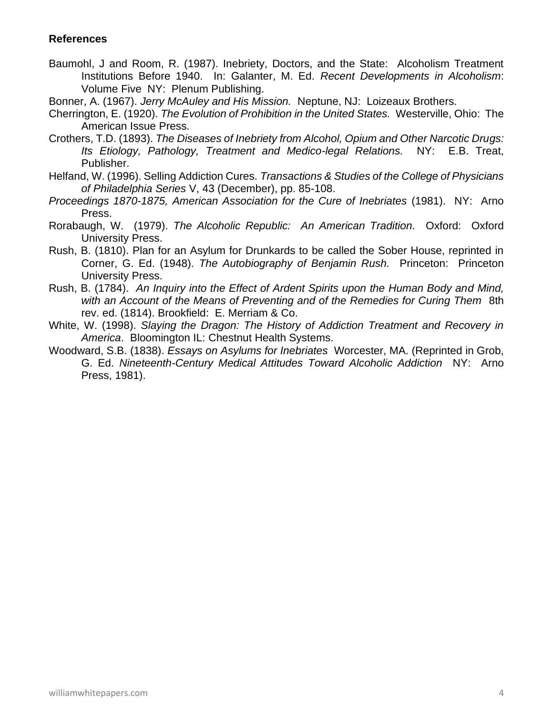- Baumohl, J and Room, R. (1987). Inebriety, Doctors, and the State: Alcoholism Treatment Institutions Before 1940. In: Galanter, M. Ed. *Recent Developments in Alcoholism*: Volume Five NY: Plenum Publishing.
- Bonner, A. (1967). *Jerry McAuley and His Mission.* Neptune, NJ: Loizeaux Brothers.
- Cherrington, E. (1920). *The Evolution of Prohibition in the United States.* Westerville, Ohio: The American Issue Press.
- Crothers, T.D. (1893). *The Diseases of Inebriety from Alcohol, Opium and Other Narcotic Drugs: Its Etiology, Pathology, Treatment and Medico-legal Relations.* NY: E.B. Treat, Publisher.
- Helfand, W. (1996). Selling Addiction Cures. *Transactions & Studies of the College of Physicians of Philadelphia Series* V, 43 (December), pp. 85-108.
- *Proceedings 1870-1875, American Association for the Cure of Inebriates* (1981). NY: Arno Press.
- Rorabaugh, W. (1979). *The Alcoholic Republic: An American Tradition.* Oxford: Oxford University Press.
- Rush, B. (1810). Plan for an Asylum for Drunkards to be called the Sober House, reprinted in Corner, G. Ed. (1948). *The Autobiography of Benjamin Rush.* Princeton: Princeton University Press.
- Rush, B. (1784). *An Inquiry into the Effect of Ardent Spirits upon the Human Body and Mind, with an Account of the Means of Preventing and of the Remedies for Curing Them* 8th rev. ed. (1814). Brookfield: E. Merriam & Co.
- White, W. (1998). *Slaying the Dragon: The History of Addiction Treatment and Recovery in America*. Bloomington IL: Chestnut Health Systems.
- Woodward, S.B. (1838). *Essays on Asylums for Inebriates* Worcester, MA. (Reprinted in Grob, G. Ed. *Nineteenth-Century Medical Attitudes Toward Alcoholic Addiction* NY: Arno Press, 1981).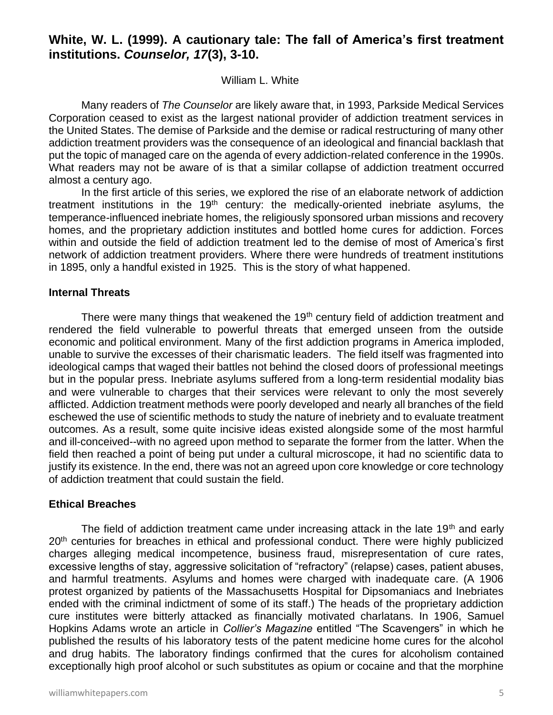# **White, W. L. (1999). A cautionary tale: The fall of America's first treatment institutions.** *Counselor, 17***(3), 3-10.**

#### William L. White

Many readers of *The Counselor* are likely aware that, in 1993, Parkside Medical Services Corporation ceased to exist as the largest national provider of addiction treatment services in the United States. The demise of Parkside and the demise or radical restructuring of many other addiction treatment providers was the consequence of an ideological and financial backlash that put the topic of managed care on the agenda of every addiction-related conference in the 1990s. What readers may not be aware of is that a similar collapse of addiction treatment occurred almost a century ago.

In the first article of this series, we explored the rise of an elaborate network of addiction treatment institutions in the  $19<sup>th</sup>$  century: the medically-oriented inebriate asylums, the temperance-influenced inebriate homes, the religiously sponsored urban missions and recovery homes, and the proprietary addiction institutes and bottled home cures for addiction. Forces within and outside the field of addiction treatment led to the demise of most of America's first network of addiction treatment providers. Where there were hundreds of treatment institutions in 1895, only a handful existed in 1925. This is the story of what happened.

# **Internal Threats**

There were many things that weakened the 19<sup>th</sup> century field of addiction treatment and rendered the field vulnerable to powerful threats that emerged unseen from the outside economic and political environment. Many of the first addiction programs in America imploded, unable to survive the excesses of their charismatic leaders. The field itself was fragmented into ideological camps that waged their battles not behind the closed doors of professional meetings but in the popular press. Inebriate asylums suffered from a long-term residential modality bias and were vulnerable to charges that their services were relevant to only the most severely afflicted. Addiction treatment methods were poorly developed and nearly all branches of the field eschewed the use of scientific methods to study the nature of inebriety and to evaluate treatment outcomes. As a result, some quite incisive ideas existed alongside some of the most harmful and ill-conceived--with no agreed upon method to separate the former from the latter. When the field then reached a point of being put under a cultural microscope, it had no scientific data to justify its existence. In the end, there was not an agreed upon core knowledge or core technology of addiction treatment that could sustain the field.

# **Ethical Breaches**

The field of addiction treatment came under increasing attack in the late 19<sup>th</sup> and early 20<sup>th</sup> centuries for breaches in ethical and professional conduct. There were highly publicized charges alleging medical incompetence, business fraud, misrepresentation of cure rates, excessive lengths of stay, aggressive solicitation of "refractory" (relapse) cases, patient abuses, and harmful treatments. Asylums and homes were charged with inadequate care. (A 1906 protest organized by patients of the Massachusetts Hospital for Dipsomaniacs and Inebriates ended with the criminal indictment of some of its staff.) The heads of the proprietary addiction cure institutes were bitterly attacked as financially motivated charlatans. In 1906, Samuel Hopkins Adams wrote an article in *Collier's Magazine* entitled "The Scavengers" in which he published the results of his laboratory tests of the patent medicine home cures for the alcohol and drug habits. The laboratory findings confirmed that the cures for alcoholism contained exceptionally high proof alcohol or such substitutes as opium or cocaine and that the morphine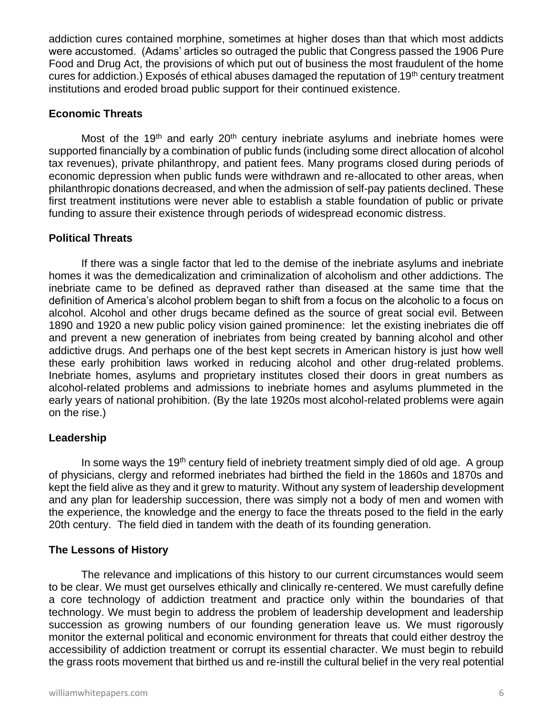addiction cures contained morphine, sometimes at higher doses than that which most addicts were accustomed. (Adams' articles so outraged the public that Congress passed the 1906 Pure Food and Drug Act, the provisions of which put out of business the most fraudulent of the home cures for addiction.) Exposés of ethical abuses damaged the reputation of 19<sup>th</sup> century treatment institutions and eroded broad public support for their continued existence.

# **Economic Threats**

Most of the 19<sup>th</sup> and early 20<sup>th</sup> century inebriate asylums and inebriate homes were supported financially by a combination of public funds (including some direct allocation of alcohol tax revenues), private philanthropy, and patient fees. Many programs closed during periods of economic depression when public funds were withdrawn and re-allocated to other areas, when philanthropic donations decreased, and when the admission of self-pay patients declined. These first treatment institutions were never able to establish a stable foundation of public or private funding to assure their existence through periods of widespread economic distress.

# **Political Threats**

If there was a single factor that led to the demise of the inebriate asylums and inebriate homes it was the demedicalization and criminalization of alcoholism and other addictions. The inebriate came to be defined as depraved rather than diseased at the same time that the definition of America's alcohol problem began to shift from a focus on the alcoholic to a focus on alcohol. Alcohol and other drugs became defined as the source of great social evil. Between 1890 and 1920 a new public policy vision gained prominence: let the existing inebriates die off and prevent a new generation of inebriates from being created by banning alcohol and other addictive drugs. And perhaps one of the best kept secrets in American history is just how well these early prohibition laws worked in reducing alcohol and other drug-related problems. Inebriate homes, asylums and proprietary institutes closed their doors in great numbers as alcohol-related problems and admissions to inebriate homes and asylums plummeted in the early years of national prohibition. (By the late 1920s most alcohol-related problems were again on the rise.)

# **Leadership**

In some ways the 19<sup>th</sup> century field of inebriety treatment simply died of old age. A group of physicians, clergy and reformed inebriates had birthed the field in the 1860s and 1870s and kept the field alive as they and it grew to maturity. Without any system of leadership development and any plan for leadership succession, there was simply not a body of men and women with the experience, the knowledge and the energy to face the threats posed to the field in the early 20th century. The field died in tandem with the death of its founding generation.

# **The Lessons of History**

The relevance and implications of this history to our current circumstances would seem to be clear. We must get ourselves ethically and clinically re-centered. We must carefully define a core technology of addiction treatment and practice only within the boundaries of that technology. We must begin to address the problem of leadership development and leadership succession as growing numbers of our founding generation leave us. We must rigorously monitor the external political and economic environment for threats that could either destroy the accessibility of addiction treatment or corrupt its essential character. We must begin to rebuild the grass roots movement that birthed us and re-instill the cultural belief in the very real potential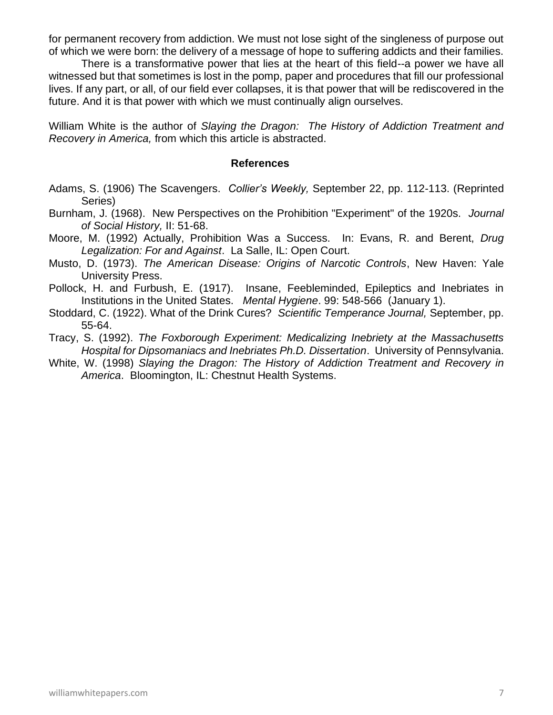for permanent recovery from addiction. We must not lose sight of the singleness of purpose out of which we were born: the delivery of a message of hope to suffering addicts and their families.

There is a transformative power that lies at the heart of this field--a power we have all witnessed but that sometimes is lost in the pomp, paper and procedures that fill our professional lives. If any part, or all, of our field ever collapses, it is that power that will be rediscovered in the future. And it is that power with which we must continually align ourselves.

William White is the author of *Slaying the Dragon: The History of Addiction Treatment and Recovery in America,* from which this article is abstracted.

- Adams, S. (1906) The Scavengers. *Collier's Weekly,* September 22, pp. 112-113. (Reprinted Series)
- Burnham, J. (1968). New Perspectives on the Prohibition "Experiment" of the 1920s. *Journal of Social History,* II: 51-68.
- Moore, M. (1992) Actually, Prohibition Was a Success. In: Evans, R. and Berent, *Drug Legalization: For and Against*. La Salle, IL: Open Court.
- Musto, D. (1973). *The American Disease: Origins of Narcotic Controls*, New Haven: Yale University Press.
- Pollock, H. and Furbush, E. (1917). Insane, Feebleminded, Epileptics and Inebriates in Institutions in the United States. *Mental Hygiene*. 99: 548-566 (January 1).
- Stoddard, C. (1922). What of the Drink Cures? *Scientific Temperance Journal,* September, pp. 55-64.
- Tracy, S. (1992). *The Foxborough Experiment: Medicalizing Inebriety at the Massachusetts Hospital for Dipsomaniacs and Inebriates Ph.D. Dissertation*. University of Pennsylvania.
- White, W. (1998) *Slaying the Dragon: The History of Addiction Treatment and Recovery in America*. Bloomington, IL: Chestnut Health Systems.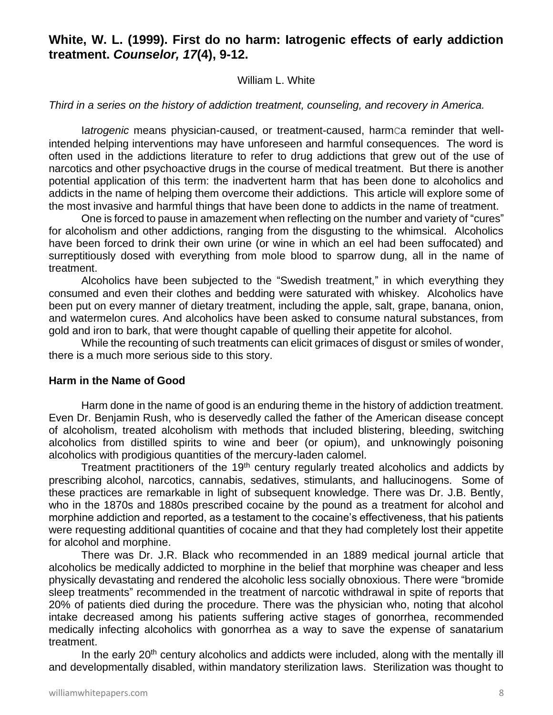# **White, W. L. (1999). First do no harm: Iatrogenic effects of early addiction treatment.** *Counselor, 17***(4), 9-12.**

#### William L. White

#### *Third in a series on the history of addiction treatment, counseling, and recovery in America.*

Iatrogenic means physician-caused, or treatment-caused, harmca reminder that wellintended helping interventions may have unforeseen and harmful consequences. The word is often used in the addictions literature to refer to drug addictions that grew out of the use of narcotics and other psychoactive drugs in the course of medical treatment. But there is another potential application of this term: the inadvertent harm that has been done to alcoholics and addicts in the name of helping them overcome their addictions. This article will explore some of the most invasive and harmful things that have been done to addicts in the name of treatment.

One is forced to pause in amazement when reflecting on the number and variety of "cures" for alcoholism and other addictions, ranging from the disgusting to the whimsical. Alcoholics have been forced to drink their own urine (or wine in which an eel had been suffocated) and surreptitiously dosed with everything from mole blood to sparrow dung, all in the name of treatment.

Alcoholics have been subjected to the "Swedish treatment," in which everything they consumed and even their clothes and bedding were saturated with whiskey. Alcoholics have been put on every manner of dietary treatment, including the apple, salt, grape, banana, onion, and watermelon cures. And alcoholics have been asked to consume natural substances, from gold and iron to bark, that were thought capable of quelling their appetite for alcohol.

While the recounting of such treatments can elicit grimaces of disgust or smiles of wonder, there is a much more serious side to this story.

#### **Harm in the Name of Good**

Harm done in the name of good is an enduring theme in the history of addiction treatment. Even Dr. Benjamin Rush, who is deservedly called the father of the American disease concept of alcoholism, treated alcoholism with methods that included blistering, bleeding, switching alcoholics from distilled spirits to wine and beer (or opium), and unknowingly poisoning alcoholics with prodigious quantities of the mercury-laden calomel.

Treatment practitioners of the 19<sup>th</sup> century regularly treated alcoholics and addicts by prescribing alcohol, narcotics, cannabis, sedatives, stimulants, and hallucinogens. Some of these practices are remarkable in light of subsequent knowledge. There was Dr. J.B. Bently, who in the 1870s and 1880s prescribed cocaine by the pound as a treatment for alcohol and morphine addiction and reported, as a testament to the cocaine's effectiveness, that his patients were requesting additional quantities of cocaine and that they had completely lost their appetite for alcohol and morphine.

There was Dr. J.R. Black who recommended in an 1889 medical journal article that alcoholics be medically addicted to morphine in the belief that morphine was cheaper and less physically devastating and rendered the alcoholic less socially obnoxious. There were "bromide sleep treatments" recommended in the treatment of narcotic withdrawal in spite of reports that 20% of patients died during the procedure. There was the physician who, noting that alcohol intake decreased among his patients suffering active stages of gonorrhea, recommended medically infecting alcoholics with gonorrhea as a way to save the expense of sanatarium treatment.

In the early  $20<sup>th</sup>$  century alcoholics and addicts were included, along with the mentally ill and developmentally disabled, within mandatory sterilization laws. Sterilization was thought to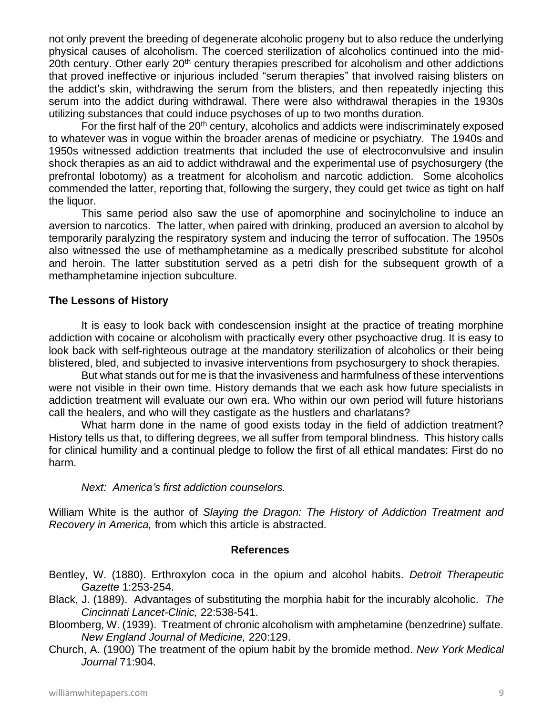not only prevent the breeding of degenerate alcoholic progeny but to also reduce the underlying physical causes of alcoholism. The coerced sterilization of alcoholics continued into the mid-20th century. Other early 20<sup>th</sup> century therapies prescribed for alcoholism and other addictions that proved ineffective or injurious included "serum therapies" that involved raising blisters on the addict's skin, withdrawing the serum from the blisters, and then repeatedly injecting this serum into the addict during withdrawal. There were also withdrawal therapies in the 1930s utilizing substances that could induce psychoses of up to two months duration.

For the first half of the 20<sup>th</sup> century, alcoholics and addicts were indiscriminately exposed to whatever was in vogue within the broader arenas of medicine or psychiatry. The 1940s and 1950s witnessed addiction treatments that included the use of electroconvulsive and insulin shock therapies as an aid to addict withdrawal and the experimental use of psychosurgery (the prefrontal lobotomy) as a treatment for alcoholism and narcotic addiction. Some alcoholics commended the latter, reporting that, following the surgery, they could get twice as tight on half the liquor.

This same period also saw the use of apomorphine and socinylcholine to induce an aversion to narcotics. The latter, when paired with drinking, produced an aversion to alcohol by temporarily paralyzing the respiratory system and inducing the terror of suffocation. The 1950s also witnessed the use of methamphetamine as a medically prescribed substitute for alcohol and heroin. The latter substitution served as a petri dish for the subsequent growth of a methamphetamine injection subculture.

# **The Lessons of History**

It is easy to look back with condescension insight at the practice of treating morphine addiction with cocaine or alcoholism with practically every other psychoactive drug. It is easy to look back with self-righteous outrage at the mandatory sterilization of alcoholics or their being blistered, bled, and subjected to invasive interventions from psychosurgery to shock therapies.

But what stands out for me is that the invasiveness and harmfulness of these interventions were not visible in their own time. History demands that we each ask how future specialists in addiction treatment will evaluate our own era. Who within our own period will future historians call the healers, and who will they castigate as the hustlers and charlatans?

What harm done in the name of good exists today in the field of addiction treatment? History tells us that, to differing degrees, we all suffer from temporal blindness. This history calls for clinical humility and a continual pledge to follow the first of all ethical mandates: First do no harm.

#### *Next: America's first addiction counselors.*

William White is the author of *Slaying the Dragon: The History of Addiction Treatment and Recovery in America,* from which this article is abstracted.

- Bentley, W. (1880). Erthroxylon coca in the opium and alcohol habits. *Detroit Therapeutic Gazette* 1:253-254.
- Black, J. (1889). Advantages of substituting the morphia habit for the incurably alcoholic. *The Cincinnati Lancet-Clinic,* 22:538-541.
- Bloomberg, W. (1939). Treatment of chronic alcoholism with amphetamine (benzedrine) sulfate. *New England Journal of Medicine,* 220:129.
- Church, A. (1900) The treatment of the opium habit by the bromide method. *New York Medical Journal* 71:904.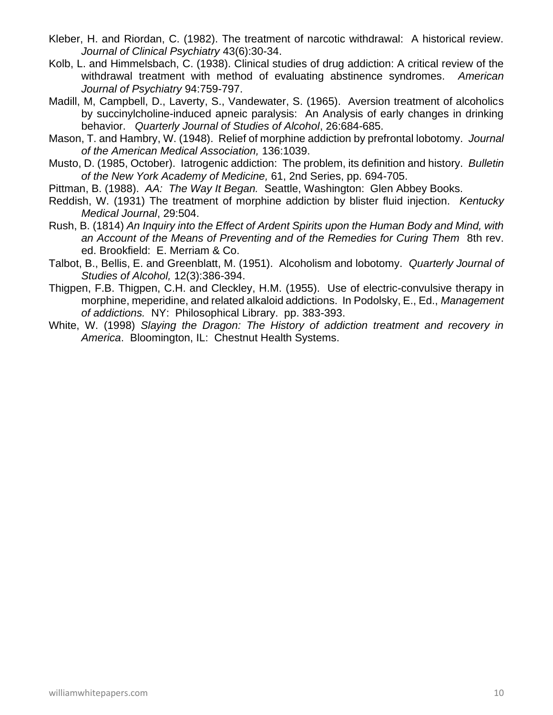- Kleber, H. and Riordan, C. (1982). The treatment of narcotic withdrawal: A historical review. *Journal of Clinical Psychiatry* 43(6):30-34.
- Kolb, L. and Himmelsbach, C. (1938). Clinical studies of drug addiction: A critical review of the withdrawal treatment with method of evaluating abstinence syndromes. *American Journal of Psychiatry* 94:759-797.
- Madill, M, Campbell, D., Laverty, S., Vandewater, S. (1965). Aversion treatment of alcoholics by succinylcholine-induced apneic paralysis: An Analysis of early changes in drinking behavior. *Quarterly Journal of Studies of Alcohol*, 26:684-685.
- Mason, T. and Hambry, W. (1948). Relief of morphine addiction by prefrontal lobotomy. *Journal of the American Medical Association,* 136:1039.
- Musto, D. (1985, October). Iatrogenic addiction: The problem, its definition and history. *Bulletin of the New York Academy of Medicine,* 61, 2nd Series, pp. 694-705.
- Pittman, B. (1988). *AA: The Way It Began.* Seattle, Washington: Glen Abbey Books.
- Reddish, W. (1931) The treatment of morphine addiction by blister fluid injection. *Kentucky Medical Journal*, 29:504.
- Rush, B. (1814) *An Inquiry into the Effect of Ardent Spirits upon the Human Body and Mind, with an Account of the Means of Preventing and of the Remedies for Curing Them* 8th rev. ed. Brookfield: E. Merriam & Co.
- Talbot, B., Bellis, E. and Greenblatt, M. (1951). Alcoholism and lobotomy. *Quarterly Journal of Studies of Alcohol,* 12(3):386-394.
- Thigpen, F.B. Thigpen, C.H. and Cleckley, H.M. (1955). Use of electric-convulsive therapy in morphine, meperidine, and related alkaloid addictions. In Podolsky, E., Ed., *Management of addictions.* NY: Philosophical Library. pp. 383-393.
- White, W. (1998) *Slaying the Dragon: The History of addiction treatment and recovery in America*. Bloomington, IL: Chestnut Health Systems.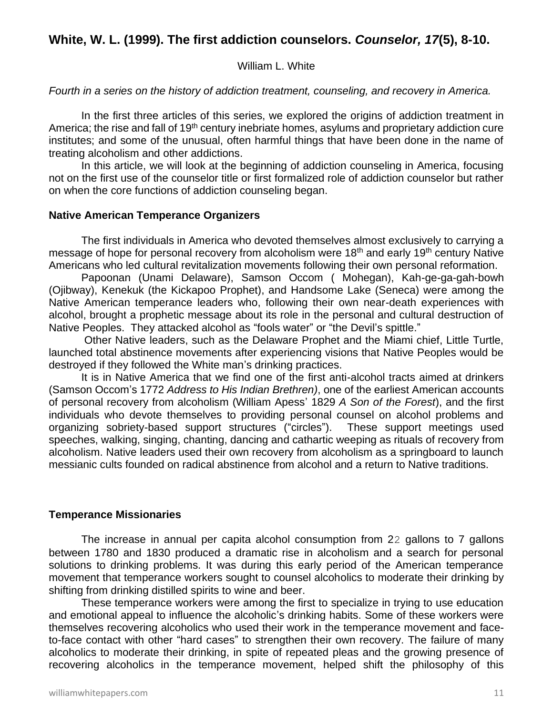# **White, W. L. (1999). The first addiction counselors.** *Counselor, 17***(5), 8-10.**

## William L. White

## *Fourth in a series on the history of addiction treatment, counseling, and recovery in America.*

In the first three articles of this series, we explored the origins of addiction treatment in America; the rise and fall of 19<sup>th</sup> century inebriate homes, asylums and proprietary addiction cure institutes; and some of the unusual, often harmful things that have been done in the name of treating alcoholism and other addictions.

In this article, we will look at the beginning of addiction counseling in America, focusing not on the first use of the counselor title or first formalized role of addiction counselor but rather on when the core functions of addiction counseling began.

#### **Native American Temperance Organizers**

The first individuals in America who devoted themselves almost exclusively to carrying a message of hope for personal recovery from alcoholism were 18<sup>th</sup> and early 19<sup>th</sup> century Native Americans who led cultural revitalization movements following their own personal reformation.

Papoonan (Unami Delaware), Samson Occom ( Mohegan), Kah-ge-ga-gah-bowh (Ojibway), Kenekuk (the Kickapoo Prophet), and Handsome Lake (Seneca) were among the Native American temperance leaders who, following their own near-death experiences with alcohol, brought a prophetic message about its role in the personal and cultural destruction of Native Peoples. They attacked alcohol as "fools water" or "the Devil's spittle."

Other Native leaders, such as the Delaware Prophet and the Miami chief, Little Turtle, launched total abstinence movements after experiencing visions that Native Peoples would be destroyed if they followed the White man's drinking practices.

It is in Native America that we find one of the first anti-alcohol tracts aimed at drinkers (Samson Occom's 1772 *Address to His Indian Brethren)*, one of the earliest American accounts of personal recovery from alcoholism (William Apess' 1829 *A Son of the Forest*), and the first individuals who devote themselves to providing personal counsel on alcohol problems and organizing sobriety-based support structures ("circles"). These support meetings used speeches, walking, singing, chanting, dancing and cathartic weeping as rituals of recovery from alcoholism. Native leaders used their own recovery from alcoholism as a springboard to launch messianic cults founded on radical abstinence from alcohol and a return to Native traditions.

#### **Temperance Missionaries**

The increase in annual per capita alcohol consumption from 22 gallons to 7 gallons between 1780 and 1830 produced a dramatic rise in alcoholism and a search for personal solutions to drinking problems. It was during this early period of the American temperance movement that temperance workers sought to counsel alcoholics to moderate their drinking by shifting from drinking distilled spirits to wine and beer.

These temperance workers were among the first to specialize in trying to use education and emotional appeal to influence the alcoholic's drinking habits. Some of these workers were themselves recovering alcoholics who used their work in the temperance movement and faceto-face contact with other "hard cases" to strengthen their own recovery. The failure of many alcoholics to moderate their drinking, in spite of repeated pleas and the growing presence of recovering alcoholics in the temperance movement, helped shift the philosophy of this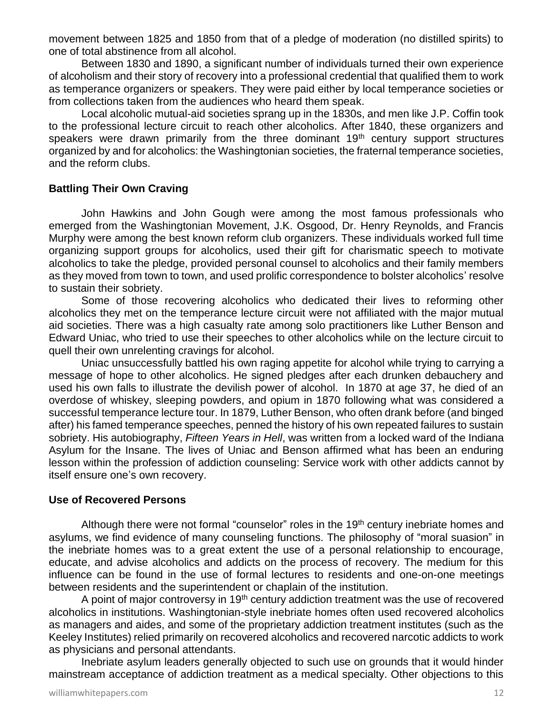movement between 1825 and 1850 from that of a pledge of moderation (no distilled spirits) to one of total abstinence from all alcohol.

Between 1830 and 1890, a significant number of individuals turned their own experience of alcoholism and their story of recovery into a professional credential that qualified them to work as temperance organizers or speakers. They were paid either by local temperance societies or from collections taken from the audiences who heard them speak.

Local alcoholic mutual-aid societies sprang up in the 1830s, and men like J.P. Coffin took to the professional lecture circuit to reach other alcoholics. After 1840, these organizers and speakers were drawn primarily from the three dominant  $19<sup>th</sup>$  century support structures organized by and for alcoholics: the Washingtonian societies, the fraternal temperance societies, and the reform clubs.

# **Battling Their Own Craving**

John Hawkins and John Gough were among the most famous professionals who emerged from the Washingtonian Movement, J.K. Osgood, Dr. Henry Reynolds, and Francis Murphy were among the best known reform club organizers. These individuals worked full time organizing support groups for alcoholics, used their gift for charismatic speech to motivate alcoholics to take the pledge, provided personal counsel to alcoholics and their family members as they moved from town to town, and used prolific correspondence to bolster alcoholics' resolve to sustain their sobriety.

Some of those recovering alcoholics who dedicated their lives to reforming other alcoholics they met on the temperance lecture circuit were not affiliated with the major mutual aid societies. There was a high casualty rate among solo practitioners like Luther Benson and Edward Uniac, who tried to use their speeches to other alcoholics while on the lecture circuit to quell their own unrelenting cravings for alcohol.

Uniac unsuccessfully battled his own raging appetite for alcohol while trying to carrying a message of hope to other alcoholics. He signed pledges after each drunken debauchery and used his own falls to illustrate the devilish power of alcohol. In 1870 at age 37, he died of an overdose of whiskey, sleeping powders, and opium in 1870 following what was considered a successful temperance lecture tour. In 1879, Luther Benson, who often drank before (and binged after) his famed temperance speeches, penned the history of his own repeated failures to sustain sobriety. His autobiography, *Fifteen Years in Hell*, was written from a locked ward of the Indiana Asylum for the Insane. The lives of Uniac and Benson affirmed what has been an enduring lesson within the profession of addiction counseling: Service work with other addicts cannot by itself ensure one's own recovery.

#### **Use of Recovered Persons**

Although there were not formal "counselor" roles in the 19<sup>th</sup> century inebriate homes and asylums, we find evidence of many counseling functions. The philosophy of "moral suasion" in the inebriate homes was to a great extent the use of a personal relationship to encourage, educate, and advise alcoholics and addicts on the process of recovery. The medium for this influence can be found in the use of formal lectures to residents and one-on-one meetings between residents and the superintendent or chaplain of the institution.

A point of major controversy in 19<sup>th</sup> century addiction treatment was the use of recovered alcoholics in institutions. Washingtonian-style inebriate homes often used recovered alcoholics as managers and aides, and some of the proprietary addiction treatment institutes (such as the Keeley Institutes) relied primarily on recovered alcoholics and recovered narcotic addicts to work as physicians and personal attendants.

Inebriate asylum leaders generally objected to such use on grounds that it would hinder mainstream acceptance of addiction treatment as a medical specialty. Other objections to this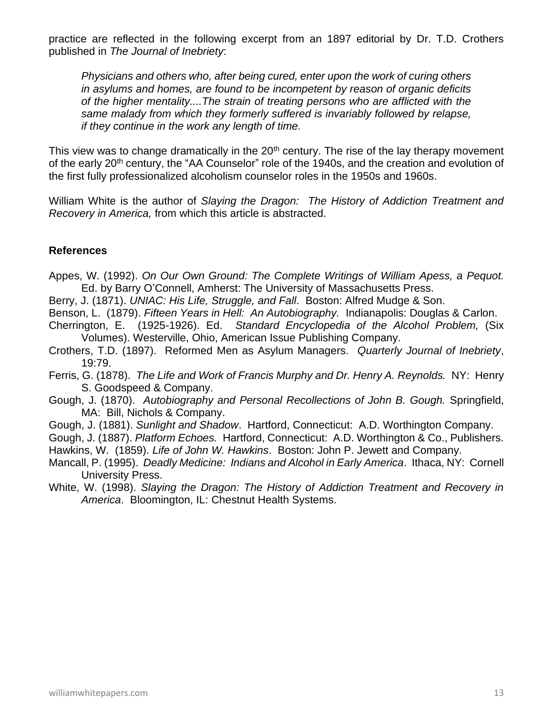practice are reflected in the following excerpt from an 1897 editorial by Dr. T.D. Crothers published in *The Journal of Inebriety*:

*Physicians and others who, after being cured, enter upon the work of curing others in asylums and homes, are found to be incompetent by reason of organic deficits of the higher mentality....The strain of treating persons who are afflicted with the same malady from which they formerly suffered is invariably followed by relapse, if they continue in the work any length of time.*

This view was to change dramatically in the  $20<sup>th</sup>$  century. The rise of the lay therapy movement of the early 20<sup>th</sup> century, the "AA Counselor" role of the 1940s, and the creation and evolution of the first fully professionalized alcoholism counselor roles in the 1950s and 1960s.

William White is the author of *Slaying the Dragon: The History of Addiction Treatment and Recovery in America,* from which this article is abstracted.

- Appes, W. (1992). *On Our Own Ground: The Complete Writings of William Apess, a Pequot.* Ed. by Barry O'Connell, Amherst: The University of Massachusetts Press.
- Berry, J. (1871). *UNIAC: His Life, Struggle, and Fall*. Boston: Alfred Mudge & Son.
- Benson, L. (1879). *Fifteen Years in Hell: An Autobiography.* Indianapolis: Douglas & Carlon.
- Cherrington, E. (1925-1926). Ed. *Standard Encyclopedia of the Alcohol Problem,* (Six Volumes). Westerville, Ohio, American Issue Publishing Company.
- Crothers, T.D. (1897). Reformed Men as Asylum Managers. *Quarterly Journal of Inebriety*, 19:79.
- Ferris, G. (1878). *The Life and Work of Francis Murphy and Dr. Henry A. Reynolds.* NY: Henry S. Goodspeed & Company.
- Gough, J. (1870). *Autobiography and Personal Recollections of John B. Gough.* Springfield, MA: Bill, Nichols & Company.
- Gough, J. (1881). *Sunlight and Shadow*. Hartford, Connecticut: A.D. Worthington Company.
- Gough, J. (1887). *Platform Echoes.* Hartford, Connecticut: A.D. Worthington & Co., Publishers. Hawkins, W. (1859). *Life of John W. Hawkins*. Boston: John P. Jewett and Company.
- Mancall, P. (1995). *Deadly Medicine: Indians and Alcohol in Early America*. Ithaca, NY: Cornell University Press.
- White, W. (1998). *Slaying the Dragon: The History of Addiction Treatment and Recovery in America*. Bloomington, IL: Chestnut Health Systems.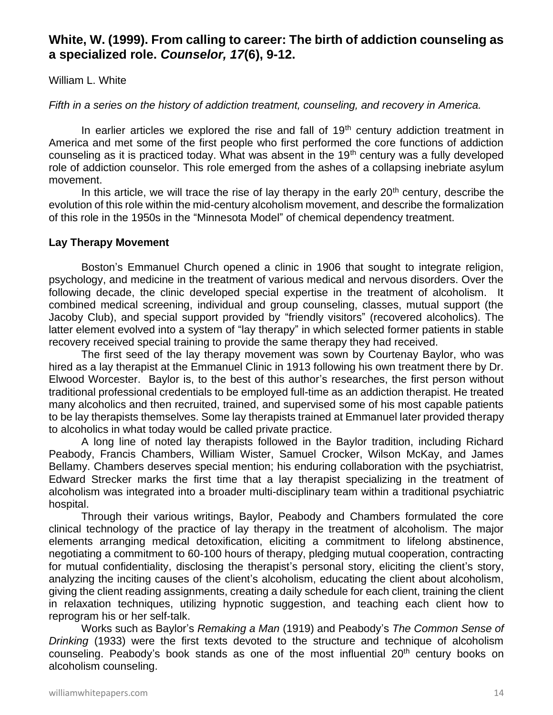# **White, W. (1999). From calling to career: The birth of addiction counseling as a specialized role.** *Counselor, 17***(6), 9-12.**

William L. White

*Fifth in a series on the history of addiction treatment, counseling, and recovery in America.*

In earlier articles we explored the rise and fall of  $19<sup>th</sup>$  century addiction treatment in America and met some of the first people who first performed the core functions of addiction counseling as it is practiced today. What was absent in the 19<sup>th</sup> century was a fully developed role of addiction counselor. This role emerged from the ashes of a collapsing inebriate asylum movement.

In this article, we will trace the rise of lay therapy in the early  $20<sup>th</sup>$  century, describe the evolution of this role within the mid-century alcoholism movement, and describe the formalization of this role in the 1950s in the "Minnesota Model" of chemical dependency treatment.

# **Lay Therapy Movement**

Boston's Emmanuel Church opened a clinic in 1906 that sought to integrate religion, psychology, and medicine in the treatment of various medical and nervous disorders. Over the following decade, the clinic developed special expertise in the treatment of alcoholism. It combined medical screening, individual and group counseling, classes, mutual support (the Jacoby Club), and special support provided by "friendly visitors" (recovered alcoholics). The latter element evolved into a system of "lay therapy" in which selected former patients in stable recovery received special training to provide the same therapy they had received.

The first seed of the lay therapy movement was sown by Courtenay Baylor, who was hired as a lay therapist at the Emmanuel Clinic in 1913 following his own treatment there by Dr. Elwood Worcester. Baylor is, to the best of this author's researches, the first person without traditional professional credentials to be employed full-time as an addiction therapist. He treated many alcoholics and then recruited, trained, and supervised some of his most capable patients to be lay therapists themselves. Some lay therapists trained at Emmanuel later provided therapy to alcoholics in what today would be called private practice.

A long line of noted lay therapists followed in the Baylor tradition, including Richard Peabody, Francis Chambers, William Wister, Samuel Crocker, Wilson McKay, and James Bellamy. Chambers deserves special mention; his enduring collaboration with the psychiatrist, Edward Strecker marks the first time that a lay therapist specializing in the treatment of alcoholism was integrated into a broader multi-disciplinary team within a traditional psychiatric hospital.

Through their various writings, Baylor, Peabody and Chambers formulated the core clinical technology of the practice of lay therapy in the treatment of alcoholism. The major elements arranging medical detoxification, eliciting a commitment to lifelong abstinence, negotiating a commitment to 60-100 hours of therapy, pledging mutual cooperation, contracting for mutual confidentiality, disclosing the therapist's personal story, eliciting the client's story, analyzing the inciting causes of the client's alcoholism, educating the client about alcoholism, giving the client reading assignments, creating a daily schedule for each client, training the client in relaxation techniques, utilizing hypnotic suggestion, and teaching each client how to reprogram his or her self-talk.

Works such as Baylor's *Remaking a Man* (1919) and Peabody's *The Common Sense of Drinking* (1933) were the first texts devoted to the structure and technique of alcoholism counseling. Peabody's book stands as one of the most influential 20<sup>th</sup> century books on alcoholism counseling.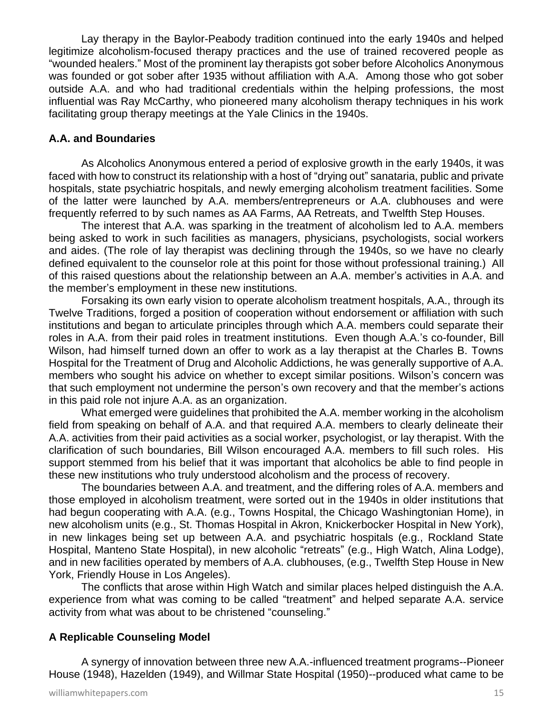Lay therapy in the Baylor-Peabody tradition continued into the early 1940s and helped legitimize alcoholism-focused therapy practices and the use of trained recovered people as "wounded healers." Most of the prominent lay therapists got sober before Alcoholics Anonymous was founded or got sober after 1935 without affiliation with A.A. Among those who got sober outside A.A. and who had traditional credentials within the helping professions, the most influential was Ray McCarthy, who pioneered many alcoholism therapy techniques in his work facilitating group therapy meetings at the Yale Clinics in the 1940s.

# **A.A. and Boundaries**

As Alcoholics Anonymous entered a period of explosive growth in the early 1940s, it was faced with how to construct its relationship with a host of "drying out" sanataria, public and private hospitals, state psychiatric hospitals, and newly emerging alcoholism treatment facilities. Some of the latter were launched by A.A. members/entrepreneurs or A.A. clubhouses and were frequently referred to by such names as AA Farms, AA Retreats, and Twelfth Step Houses.

The interest that A.A. was sparking in the treatment of alcoholism led to A.A. members being asked to work in such facilities as managers, physicians, psychologists, social workers and aides. (The role of lay therapist was declining through the 1940s, so we have no clearly defined equivalent to the counselor role at this point for those without professional training.) All of this raised questions about the relationship between an A.A. member's activities in A.A. and the member's employment in these new institutions.

Forsaking its own early vision to operate alcoholism treatment hospitals, A.A., through its Twelve Traditions, forged a position of cooperation without endorsement or affiliation with such institutions and began to articulate principles through which A.A. members could separate their roles in A.A. from their paid roles in treatment institutions. Even though A.A.'s co-founder, Bill Wilson, had himself turned down an offer to work as a lay therapist at the Charles B. Towns Hospital for the Treatment of Drug and Alcoholic Addictions, he was generally supportive of A.A. members who sought his advice on whether to except similar positions. Wilson's concern was that such employment not undermine the person's own recovery and that the member's actions in this paid role not injure A.A. as an organization.

What emerged were guidelines that prohibited the A.A. member working in the alcoholism field from speaking on behalf of A.A. and that required A.A. members to clearly delineate their A.A. activities from their paid activities as a social worker, psychologist, or lay therapist. With the clarification of such boundaries, Bill Wilson encouraged A.A. members to fill such roles. His support stemmed from his belief that it was important that alcoholics be able to find people in these new institutions who truly understood alcoholism and the process of recovery.

The boundaries between A.A. and treatment, and the differing roles of A.A. members and those employed in alcoholism treatment, were sorted out in the 1940s in older institutions that had begun cooperating with A.A. (e.g., Towns Hospital, the Chicago Washingtonian Home), in new alcoholism units (e.g., St. Thomas Hospital in Akron, Knickerbocker Hospital in New York), in new linkages being set up between A.A. and psychiatric hospitals (e.g., Rockland State Hospital, Manteno State Hospital), in new alcoholic "retreats" (e.g., High Watch, Alina Lodge), and in new facilities operated by members of A.A. clubhouses, (e.g., Twelfth Step House in New York, Friendly House in Los Angeles).

The conflicts that arose within High Watch and similar places helped distinguish the A.A. experience from what was coming to be called "treatment" and helped separate A.A. service activity from what was about to be christened "counseling."

# **A Replicable Counseling Model**

A synergy of innovation between three new A.A.-influenced treatment programs--Pioneer House (1948), Hazelden (1949), and Willmar State Hospital (1950)--produced what came to be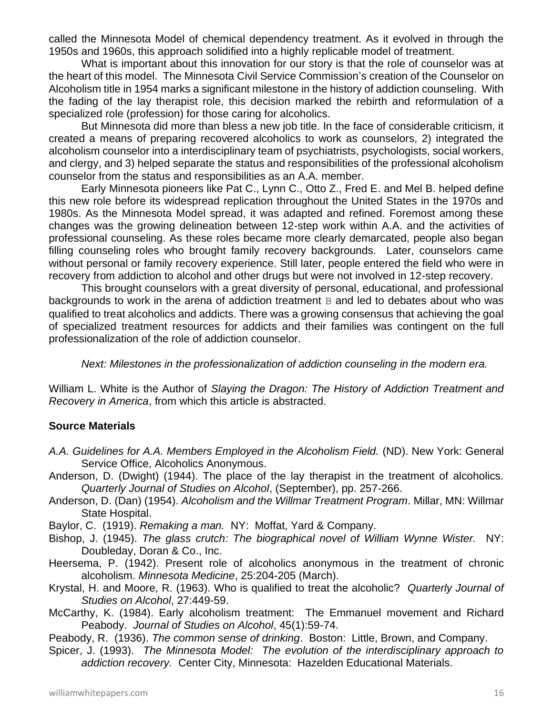called the Minnesota Model of chemical dependency treatment. As it evolved in through the 1950s and 1960s, this approach solidified into a highly replicable model of treatment.

What is important about this innovation for our story is that the role of counselor was at the heart of this model. The Minnesota Civil Service Commission's creation of the Counselor on Alcoholism title in 1954 marks a significant milestone in the history of addiction counseling. With the fading of the lay therapist role, this decision marked the rebirth and reformulation of a specialized role (profession) for those caring for alcoholics.

But Minnesota did more than bless a new job title. In the face of considerable criticism, it created a means of preparing recovered alcoholics to work as counselors, 2) integrated the alcoholism counselor into a interdisciplinary team of psychiatrists, psychologists, social workers, and clergy, and 3) helped separate the status and responsibilities of the professional alcoholism counselor from the status and responsibilities as an A.A. member.

Early Minnesota pioneers like Pat C., Lynn C., Otto Z., Fred E. and Mel B. helped define this new role before its widespread replication throughout the United States in the 1970s and 1980s. As the Minnesota Model spread, it was adapted and refined. Foremost among these changes was the growing delineation between 12-step work within A.A. and the activities of professional counseling. As these roles became more clearly demarcated, people also began filling counseling roles who brought family recovery backgrounds. Later, counselors came without personal or family recovery experience. Still later, people entered the field who were in recovery from addiction to alcohol and other drugs but were not involved in 12-step recovery.

This brought counselors with a great diversity of personal, educational, and professional backgrounds to work in the arena of addiction treatment B and led to debates about who was qualified to treat alcoholics and addicts. There was a growing consensus that achieving the goal of specialized treatment resources for addicts and their families was contingent on the full professionalization of the role of addiction counselor.

*Next: Milestones in the professionalization of addiction counseling in the modern era.*

William L. White is the Author of *Slaying the Dragon: The History of Addiction Treatment and Recovery in America*, from which this article is abstracted.

# **Source Materials**

- *A.A. Guidelines for A.A. Members Employed in the Alcoholism Field.* (ND). New York: General Service Office, Alcoholics Anonymous.
- Anderson, D. (Dwight) (1944). The place of the lay therapist in the treatment of alcoholics. *Quarterly Journal of Studies on Alcohol*, (September), pp. 257-266.
- Anderson, D. (Dan) (1954). *Alcoholism and the Willmar Treatment Program*. Millar, MN: Willmar State Hospital.
- Baylor, C. (1919). *Remaking a man.* NY: Moffat, Yard & Company.
- Bishop, J. (1945). *The glass crutch: The biographical novel of William Wynne Wister.* NY: Doubleday, Doran & Co., Inc.
- Heersema, P. (1942). Present role of alcoholics anonymous in the treatment of chronic alcoholism. *Minnesota Medicine*, 25:204-205 (March).
- Krystal, H. and Moore, R. (1963). Who is qualified to treat the alcoholic? *Quarterly Journal of Studies on Alcohol*, 27:449-59.
- McCarthy, K. (1984). Early alcoholism treatment: The Emmanuel movement and Richard Peabody. *Journal of Studies on Alcohol*, 45(1):59-74.

Peabody, R. (1936). *The common sense of drinking*. Boston: Little, Brown, and Company.

Spicer, J. (1993). *The Minnesota Model: The evolution of the interdisciplinary approach to addiction recovery.* Center City, Minnesota: Hazelden Educational Materials.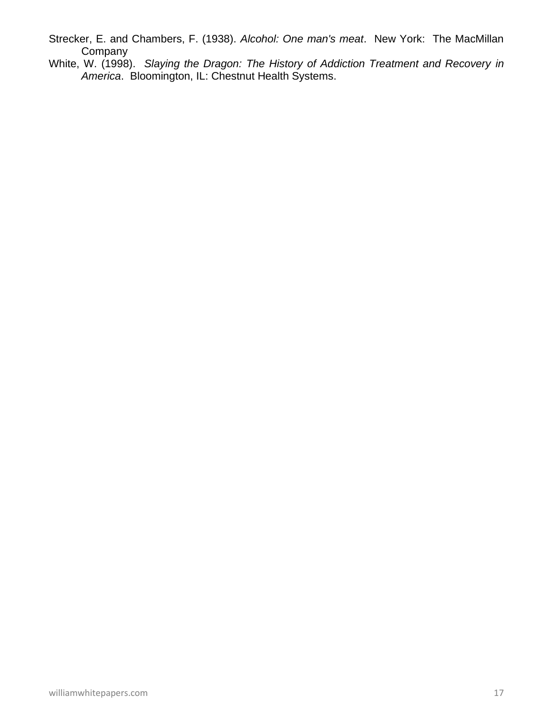- Strecker, E. and Chambers, F. (1938). *Alcohol: One man's meat*. New York: The MacMillan **Company**
- White, W. (1998). *Slaying the Dragon: The History of Addiction Treatment and Recovery in America*. Bloomington, IL: Chestnut Health Systems.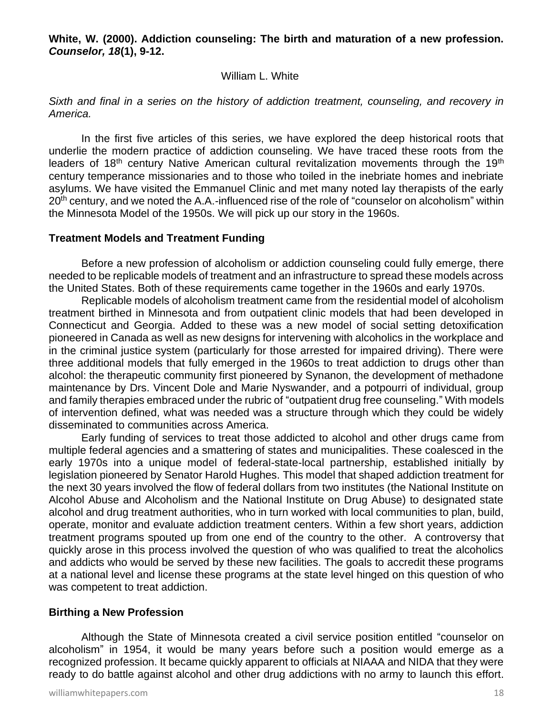**White, W. (2000). Addiction counseling: The birth and maturation of a new profession.**  *Counselor, 18***(1), 9-12.**

#### William L. White

*Sixth and final in a series on the history of addiction treatment, counseling, and recovery in America.*

In the first five articles of this series, we have explored the deep historical roots that underlie the modern practice of addiction counseling. We have traced these roots from the leaders of 18<sup>th</sup> century Native American cultural revitalization movements through the 19<sup>th</sup> century temperance missionaries and to those who toiled in the inebriate homes and inebriate asylums. We have visited the Emmanuel Clinic and met many noted lay therapists of the early  $20<sup>th</sup>$  century, and we noted the A.A.-influenced rise of the role of "counselor on alcoholism" within the Minnesota Model of the 1950s. We will pick up our story in the 1960s.

#### **Treatment Models and Treatment Funding**

Before a new profession of alcoholism or addiction counseling could fully emerge, there needed to be replicable models of treatment and an infrastructure to spread these models across the United States. Both of these requirements came together in the 1960s and early 1970s.

Replicable models of alcoholism treatment came from the residential model of alcoholism treatment birthed in Minnesota and from outpatient clinic models that had been developed in Connecticut and Georgia. Added to these was a new model of social setting detoxification pioneered in Canada as well as new designs for intervening with alcoholics in the workplace and in the criminal justice system (particularly for those arrested for impaired driving). There were three additional models that fully emerged in the 1960s to treat addiction to drugs other than alcohol: the therapeutic community first pioneered by Synanon, the development of methadone maintenance by Drs. Vincent Dole and Marie Nyswander, and a potpourri of individual, group and family therapies embraced under the rubric of "outpatient drug free counseling." With models of intervention defined, what was needed was a structure through which they could be widely disseminated to communities across America.

Early funding of services to treat those addicted to alcohol and other drugs came from multiple federal agencies and a smattering of states and municipalities. These coalesced in the early 1970s into a unique model of federal-state-local partnership, established initially by legislation pioneered by Senator Harold Hughes. This model that shaped addiction treatment for the next 30 years involved the flow of federal dollars from two institutes (the National Institute on Alcohol Abuse and Alcoholism and the National Institute on Drug Abuse) to designated state alcohol and drug treatment authorities, who in turn worked with local communities to plan, build, operate, monitor and evaluate addiction treatment centers. Within a few short years, addiction treatment programs spouted up from one end of the country to the other. A controversy that quickly arose in this process involved the question of who was qualified to treat the alcoholics and addicts who would be served by these new facilities. The goals to accredit these programs at a national level and license these programs at the state level hinged on this question of who was competent to treat addiction.

#### **Birthing a New Profession**

Although the State of Minnesota created a civil service position entitled "counselor on alcoholism" in 1954, it would be many years before such a position would emerge as a recognized profession. It became quickly apparent to officials at NIAAA and NIDA that they were ready to do battle against alcohol and other drug addictions with no army to launch this effort.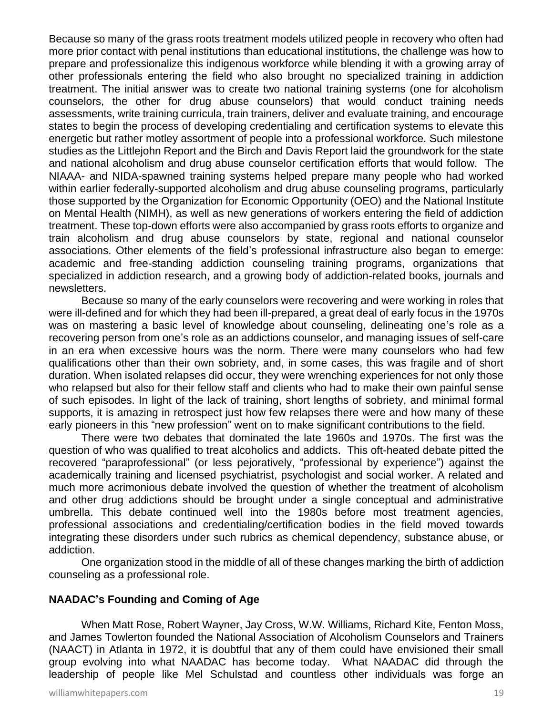Because so many of the grass roots treatment models utilized people in recovery who often had more prior contact with penal institutions than educational institutions, the challenge was how to prepare and professionalize this indigenous workforce while blending it with a growing array of other professionals entering the field who also brought no specialized training in addiction treatment. The initial answer was to create two national training systems (one for alcoholism counselors, the other for drug abuse counselors) that would conduct training needs assessments, write training curricula, train trainers, deliver and evaluate training, and encourage states to begin the process of developing credentialing and certification systems to elevate this energetic but rather motley assortment of people into a professional workforce. Such milestone studies as the Littlejohn Report and the Birch and Davis Report laid the groundwork for the state and national alcoholism and drug abuse counselor certification efforts that would follow. The NIAAA- and NIDA-spawned training systems helped prepare many people who had worked within earlier federally-supported alcoholism and drug abuse counseling programs, particularly those supported by the Organization for Economic Opportunity (OEO) and the National Institute on Mental Health (NIMH), as well as new generations of workers entering the field of addiction treatment. These top-down efforts were also accompanied by grass roots efforts to organize and train alcoholism and drug abuse counselors by state, regional and national counselor associations. Other elements of the field's professional infrastructure also began to emerge: academic and free-standing addiction counseling training programs, organizations that specialized in addiction research, and a growing body of addiction-related books, journals and newsletters.

Because so many of the early counselors were recovering and were working in roles that were ill-defined and for which they had been ill-prepared, a great deal of early focus in the 1970s was on mastering a basic level of knowledge about counseling, delineating one's role as a recovering person from one's role as an addictions counselor, and managing issues of self-care in an era when excessive hours was the norm. There were many counselors who had few qualifications other than their own sobriety, and, in some cases, this was fragile and of short duration. When isolated relapses did occur, they were wrenching experiences for not only those who relapsed but also for their fellow staff and clients who had to make their own painful sense of such episodes. In light of the lack of training, short lengths of sobriety, and minimal formal supports, it is amazing in retrospect just how few relapses there were and how many of these early pioneers in this "new profession" went on to make significant contributions to the field.

There were two debates that dominated the late 1960s and 1970s. The first was the question of who was qualified to treat alcoholics and addicts. This oft-heated debate pitted the recovered "paraprofessional" (or less pejoratively, "professional by experience") against the academically training and licensed psychiatrist, psychologist and social worker. A related and much more acrimonious debate involved the question of whether the treatment of alcoholism and other drug addictions should be brought under a single conceptual and administrative umbrella. This debate continued well into the 1980s before most treatment agencies, professional associations and credentialing/certification bodies in the field moved towards integrating these disorders under such rubrics as chemical dependency, substance abuse, or addiction.

One organization stood in the middle of all of these changes marking the birth of addiction counseling as a professional role.

# **NAADAC's Founding and Coming of Age**

When Matt Rose, Robert Wayner, Jay Cross, W.W. Williams, Richard Kite, Fenton Moss, and James Towlerton founded the National Association of Alcoholism Counselors and Trainers (NAACT) in Atlanta in 1972, it is doubtful that any of them could have envisioned their small group evolving into what NAADAC has become today. What NAADAC did through the leadership of people like Mel Schulstad and countless other individuals was forge an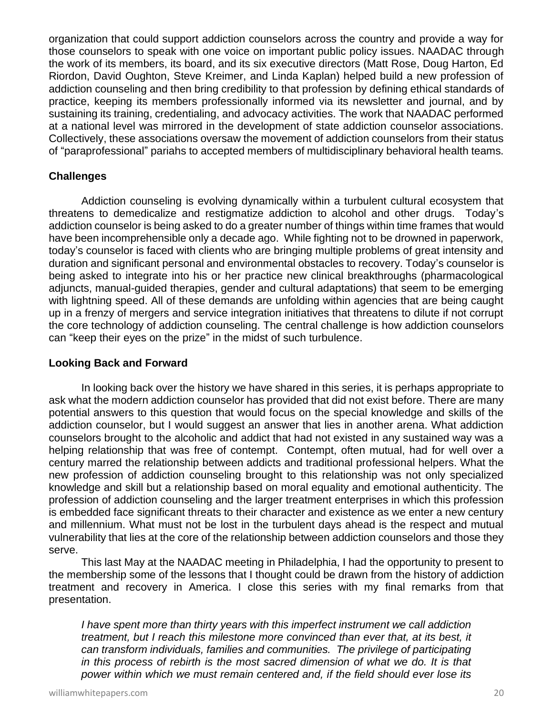organization that could support addiction counselors across the country and provide a way for those counselors to speak with one voice on important public policy issues. NAADAC through the work of its members, its board, and its six executive directors (Matt Rose, Doug Harton, Ed Riordon, David Oughton, Steve Kreimer, and Linda Kaplan) helped build a new profession of addiction counseling and then bring credibility to that profession by defining ethical standards of practice, keeping its members professionally informed via its newsletter and journal, and by sustaining its training, credentialing, and advocacy activities. The work that NAADAC performed at a national level was mirrored in the development of state addiction counselor associations. Collectively, these associations oversaw the movement of addiction counselors from their status of "paraprofessional" pariahs to accepted members of multidisciplinary behavioral health teams.

# **Challenges**

Addiction counseling is evolving dynamically within a turbulent cultural ecosystem that threatens to demedicalize and restigmatize addiction to alcohol and other drugs. Today's addiction counselor is being asked to do a greater number of things within time frames that would have been incomprehensible only a decade ago. While fighting not to be drowned in paperwork, today's counselor is faced with clients who are bringing multiple problems of great intensity and duration and significant personal and environmental obstacles to recovery. Today's counselor is being asked to integrate into his or her practice new clinical breakthroughs (pharmacological adjuncts, manual-guided therapies, gender and cultural adaptations) that seem to be emerging with lightning speed. All of these demands are unfolding within agencies that are being caught up in a frenzy of mergers and service integration initiatives that threatens to dilute if not corrupt the core technology of addiction counseling. The central challenge is how addiction counselors can "keep their eyes on the prize" in the midst of such turbulence.

#### **Looking Back and Forward**

In looking back over the history we have shared in this series, it is perhaps appropriate to ask what the modern addiction counselor has provided that did not exist before. There are many potential answers to this question that would focus on the special knowledge and skills of the addiction counselor, but I would suggest an answer that lies in another arena. What addiction counselors brought to the alcoholic and addict that had not existed in any sustained way was a helping relationship that was free of contempt. Contempt, often mutual, had for well over a century marred the relationship between addicts and traditional professional helpers. What the new profession of addiction counseling brought to this relationship was not only specialized knowledge and skill but a relationship based on moral equality and emotional authenticity. The profession of addiction counseling and the larger treatment enterprises in which this profession is embedded face significant threats to their character and existence as we enter a new century and millennium. What must not be lost in the turbulent days ahead is the respect and mutual vulnerability that lies at the core of the relationship between addiction counselors and those they serve.

This last May at the NAADAC meeting in Philadelphia, I had the opportunity to present to the membership some of the lessons that I thought could be drawn from the history of addiction treatment and recovery in America. I close this series with my final remarks from that presentation.

*I have spent more than thirty years with this imperfect instrument we call addiction treatment, but I reach this milestone more convinced than ever that, at its best, it can transform individuals, families and communities. The privilege of participating in this process of rebirth is the most sacred dimension of what we do. It is that power within which we must remain centered and, if the field should ever lose its*